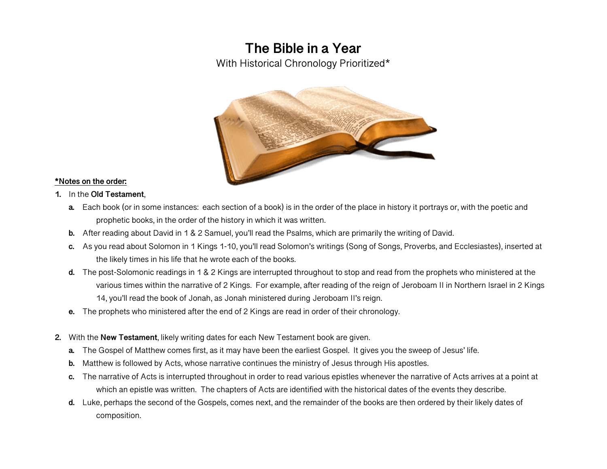# **The Bible in a Year**

With Historical Chronology Prioritized\*



#### **\*Notes on the order:**

- **1.** In the **Old Testament**,
	- **a.** Each book (or in some instances: each section of a book) is in the order of the place in history it portrays or, with the poetic and prophetic books, in the order of the history in which it was written.
	- **b.** After reading about David in 1 & 2 Samuel, you'll read the Psalms, which are primarily the writing of David.
	- **c.** As you read about Solomon in 1 Kings 1-10, you'll read Solomon's writings (Song of Songs, Proverbs, and Ecclesiastes), inserted at the likely times in his life that he wrote each of the books.
	- **d.** The post-Solomonic readings in 1 & 2 Kings are interrupted throughout to stop and read from the prophets who ministered at the various times within the narrative of 2 Kings. For example, after reading of the reign of Jeroboam II in Northern Israel in 2 Kings 14, you'll read the book of Jonah, as Jonah ministered during Jeroboam II's reign.
	- **e.** The prophets who ministered after the end of 2 Kings are read in order of their chronology.
- **2.** With the **New Testament**, likely writing dates for each New Testament book are given.
	- **a.** The Gospel of Matthew comes first, as it may have been the earliest Gospel. It gives you the sweep of Jesus' life.
	- **b.** Matthew is followed by Acts, whose narrative continues the ministry of Jesus through His apostles.
	- **c.** The narrative of Acts is interrupted throughout in order to read various epistles whenever the narrative of Acts arrives at a point at which an epistle was written. The chapters of Acts are identified with the historical dates of the events they describe.
	- **d.** Luke, perhaps the second of the Gospels, comes next, and the remainder of the books are then ordered by their likely dates of composition.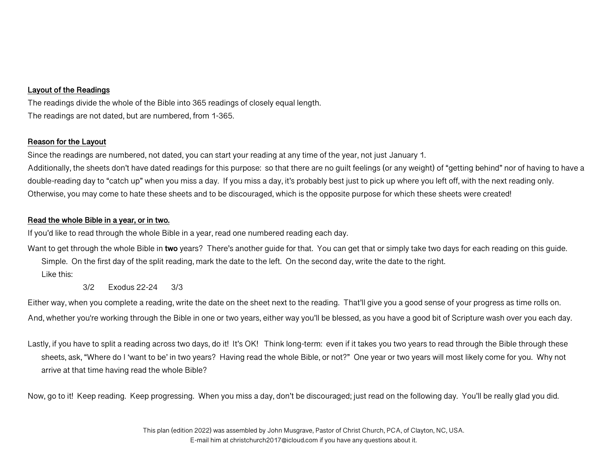# **Layout of the Readings**

The readings divide the whole of the Bible into 365 readings of closely equal length. The readings are not dated, but are numbered, from 1-365.

## **Reason for the Layout**

Since the readings are numbered, not dated, you can start your reading at any time of the year, not just January 1. Additionally, the sheets don't have dated readings for this purpose: so that there are no guilt feelings (or any weight) of "getting behind" nor of having to have a double-reading day to "catch up" when you miss a day. If you miss a day, it's probably best just to pick up where you left off, with the next reading only. Otherwise, you may come to hate these sheets and to be discouraged, which is the opposite purpose for which these sheets were created!

## **Read the whole Bible in a year, or in two.**

If you'd like to read through the whole Bible in a year, read one numbered reading each day.

Want to get through the whole Bible in **two** years? There's another guide for that. You can get that or simply take two days for each reading on this guide. Simple. On the first day of the split reading, mark the date to the left. On the second day, write the date to the right.

Like this:

3/2 Exodus 22-24 3/3

Either way, when you complete a reading, write the date on the sheet next to the reading. That'll give you a good sense of your progress as time rolls on. And, whether you're working through the Bible in one or two years, either way you'll be blessed, as you have a good bit of Scripture wash over you each day.

Lastly, if you have to split a reading across two days, do it! It's OK! Think long-term: even if it takes you two years to read through the Bible through these sheets, ask, "Where do I 'want to be' in two years? Having read the whole Bible, or not?" One year or two years will most likely come for you. Why not arrive at that time having read the whole Bible?

Now, go to it! Keep reading. Keep progressing. When you miss a day, don't be discouraged; just read on the following day. You'll be really glad you did.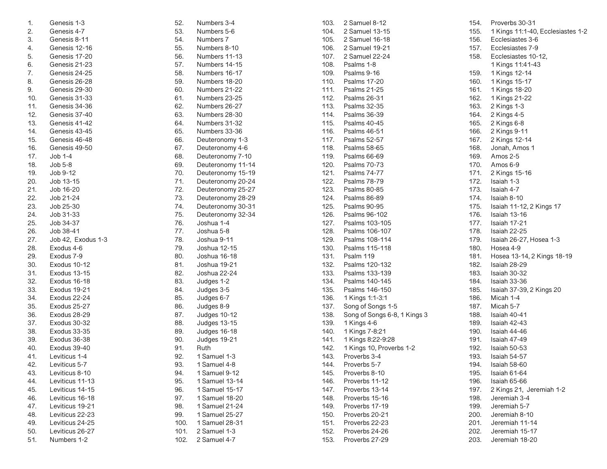| 1.  | Genesis 1-3         | 52.  | Numbers 3-4       |
|-----|---------------------|------|-------------------|
| 2.  | Genesis 4-7         | 53.  | Numbers 5-6       |
| 3.  | Genesis 8-11        | 54.  | Numbers 7         |
| 4.  | Genesis 12-16       | 55.  | Numbers 8-10      |
| 5.  | Genesis 17-20       | 56.  | Numbers 11-13     |
| 6.  | Genesis 21-23       | 57.  | Numbers 14-15     |
| 7.  | Genesis 24-25       | 58.  | Numbers 16-17     |
| 8.  | Genesis 26-28       | 59.  | Numbers 18-20     |
| 9.  | Genesis 29-30       | 60.  | Numbers 21-22     |
| 10. | Genesis 31-33       | 61.  | Numbers 23-25     |
| 11. | Genesis 34-36       | 62.  | Numbers 26-27     |
| 12. | Genesis 37-40       | 63.  | Numbers 28-30     |
| 13. | Genesis 41-42       | 64.  | Numbers 31-32     |
| 14. | Genesis 43-45       | 65.  | Numbers 33-36     |
| 15. | Genesis 46-48       | 66.  | Deuteronomy 1-3   |
| 16. | Genesis 49-50       | 67.  | Deuteronomy 4-6   |
| 17. | Job 1-4             | 68.  | Deuteronomy 7-10  |
| 18. | $Job 5-8$           | 69.  | Deuteronomy 11-14 |
| 19. | Job 9-12            | 70.  | Deuteronomy 15-19 |
| 20. | Job 13-15           | 71.  | Deuteronomy 20-24 |
| 21. | Job 16-20           | 72.  | Deuteronomy 25-27 |
| 22. | Job 21-24           | 73.  | Deuteronomy 28-29 |
| 23. | Job 25-30           | 74.  | Deuteronomy 30-31 |
| 24. | Job 31-33           | 75.  | Deuteronomy 32-34 |
| 25. | Job 34-37           | 76.  | Joshua 1-4        |
| 26. | Job 38-41           | 77.  | Joshua 5-8        |
| 27. | Job 42, Exodus 1-3  | 78.  | Joshua 9-11       |
| 28. | Exodus 4-6          | 79.  | Joshua 12-15      |
| 29. | Exodus 7-9          | 80.  | Joshua 16-18      |
| 30. | Exodus 10-12        | 81.  | Joshua 19-21      |
| 31. | <b>Exodus 13-15</b> | 82.  | Joshua 22-24      |
| 32. | Exodus 16-18        | 83.  | Judges 1-2        |
| 33. | Exodus 19-21        | 84.  | Judges 3-5        |
| 34. | Exodus 22-24        | 85.  | Judges 6-7        |
| 35. | Exodus 25-27        | 86.  | Judges 8-9        |
| 36. | Exodus 28-29        | 87.  | Judges 10-12      |
| 37. | Exodus 30-32        | 88.  | Judges 13-15      |
| 38. | Exodus 33-35        | 89.  | Judges 16-18      |
| 39. | Exodus 36-38        | 90.  | Judges 19-21      |
| 40. | Exodus 39-40        | 91.  | Ruth              |
| 41. | Leviticus 1-4       | 92.  | 1 Samuel 1-3      |
| 42. | Leviticus 5-7       | 93.  | 1 Samuel 4-8      |
| 43. | Leviticus 8-10      | 94.  | 1 Samuel 9-12     |
| 44. | Leviticus 11-13     | 95.  | 1 Samuel 13-14    |
| 45. | Leviticus 14-15     | 96.  | 1 Samuel 15-17    |
| 46. | Leviticus 16-18     | 97.  | 1 Samuel 18-20    |
| 47. | Leviticus 19-21     | 98.  | 1 Samuel 21-24    |
| 48. | Leviticus 22-23     | 99.  | 1 Samuel 25-27    |
| 49. | Leviticus 24-25     | 100. | 1 Samuel 28-31    |
| 50. | Leviticus 26-27     | 101. | 2 Samuel 1-3      |
|     | Numbers 1-2         | 102. |                   |
| 51. |                     |      | 2 Samuel 4-7      |

| 103. | 2 Samuel 8-12                |
|------|------------------------------|
| 104. | 2 Samuel 13-15               |
| 105. | 2 Samuel 16-18               |
| 106. | 2 Samuel 19-21               |
| 107. | 2 Samuel 22-24               |
| 108. | Psalms 1-8                   |
| 109. | Psalms 9-16                  |
| 110. | <b>Psalms 17-20</b>          |
| 111. | <b>Psalms 21-25</b>          |
| 112. | <b>Psalms 26-31</b>          |
| 113. | <b>Psalms 32-35</b>          |
| 114. | <b>Psalms 36-39</b>          |
| 115. | <b>Psalms 40-45</b>          |
| 116. | Psalms 46-51                 |
| 117. | Psalms 52-57                 |
| 118. | Psalms 58-65                 |
| 119. | Psalms 66-69                 |
| 120. | <b>Psalms 70-73</b>          |
| 121. | Psalms 74-77                 |
| 122. | <b>Psalms 78-79</b>          |
| 123. | Psalms 80-85                 |
| 124. | Psalms 86-89                 |
|      |                              |
| 125. | <b>Psalms 90-95</b>          |
| 126. | Psalms 96-102                |
| 127. | Psalms 103-105               |
| 128. | Psalms 106-107               |
| 129. | Psalms 108-114               |
| 130. | Psalms 115-118               |
| 131. | Psalm 119                    |
| 132. | Psalms 120-132               |
| 133. | Psalms 133-139               |
| 134. | Psalms 140-145               |
| 135. | Psalms 146-150               |
| 136. | 1 Kings 1:1-3:1              |
| 137. | Song of Songs 1-5            |
| 138. | Song of Songs 6-8, 1 Kings 3 |
| 139. | 1 Kings 4-6                  |
| 140. | 1 Kings 7-8:21               |
| 141. | 1 Kings 8:22-9:28            |
| 142. | 1 Kings 10, Proverbs 1-2     |
| 143. | Proverbs 3-4                 |
| 144. | Proverbs 5-7                 |
| 145. | Proverbs 8-10                |
| 146. | Proverbs 11-12               |
| 147. | Proverbs 13-14               |
| 148. | Proverbs 15-16               |
| 149. | Proverbs 17-19               |
| 150. | Proverbs 20-21               |
| 151. | Proverbs 22-23               |
| 152. | Proverbs 24-26               |
| 153. | Proverbs 27-29               |

154. Proverbs 30-31 155. 1 Kings 11:1-40, Ecclesiastes 1-2 Ecclesiastes 3-6 157. Ecclesiastes 7-9 158. Ecclesiastes 10-12, 1 Kings 11:41-43 159. 1 Kings 12-14 160. 1 Kings 15-17 161. 1 Kings 18-20 162. 1 Kings 21-22 163. 2 Kings 1-3 164. 2 Kings 4-5 165. 2 Kings 6-8 166. 2 Kings 9-11 167. 2 Kings 12-14 168. Jonah, Amos 1 169. Amos 2-5 170. Amos 6-9 171. 2 Kings 15-16 172. Isaiah 1-3 173. Isaiah 4-7 174. Isaiah 8-10 175. Isaiah 11-12, 2 Kings 17 176. Isaiah 13-16 177. Isaiah 17-21 Isaiah 22-25 179. Isaiah 26-27, Hosea 1-3 180. Hosea 4-9 181. Hosea 13-14, 2 Kings 18-19 182. Isaiah 28-29 183. Isaiah 30-32 184. Isaiah 33-36 185. Isaiah 37-39, 2 Kings 20 186. Micah 1-4 187. Micah 5-7<br>188. Isaiah 40-4 188. Isaiah 40-41 189. Isaiah 42-43 Isaiah 44-46 191. Isaiah 47-49 192. Isaiah 50-53 193. Isaiah 54-57 Isaiah 58-60 195. Isaiah 61-64 196. Isaiah 65-66 197. 2 Kings 21, Jeremiah 1-2 198. Jeremiah 3-4 199. Jeremiah 5-7 Jeremiah 8-10 201. Jeremiah 11-14 Jeremiah 15-17 203. Jeremiah 18-20